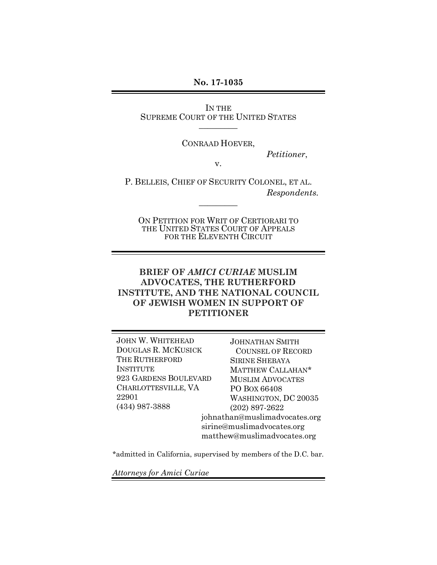**No. 17-1035**

IN THE SUPREME COURT OF THE UNITED STATES  $\overline{\phantom{a}}$ 

CONRAAD HOEVER,

*Petitioner*,

v.

P. BELLEIS, CHIEF OF SECURITY COLONEL, ET AL. *Respondents.*

 $\overline{\phantom{a}}$ 

ON PETITION FOR WRIT OF CERTIORARI TO THE UNITED STATES COURT OF APPEALS FOR THE ELEVENTH CIRCUIT

## **BRIEF OF** *AMICI CURIAE* **MUSLIM ADVOCATES, THE RUTHERFORD INSTITUTE, AND THE NATIONAL COUNCIL OF JEWISH WOMEN IN SUPPORT OF PETITIONER**

JOHN W. WHITEHEAD DOUGLAS R. MCKUSICK THE RUTHERFORD INSTITUTE 923 GARDENS BOULEVARD CHARLOTTESVILLE, VA 22901 (434) 987-3888

JOHNATHAN SMITH COUNSEL OF RECORD SIRINE SHEBAYA MATTHEW CALLAHAN\* MUSLIM ADVOCATES PO BOX 66408 WASHINGTON, DC 20035 (202) 897-2622 johnathan@muslimadvocates.org sirine@muslimadvocates.org matthew@muslimadvocates.org

\*admitted in California, supervised by members of the D.C. bar.

*Attorneys for Amici Curiae*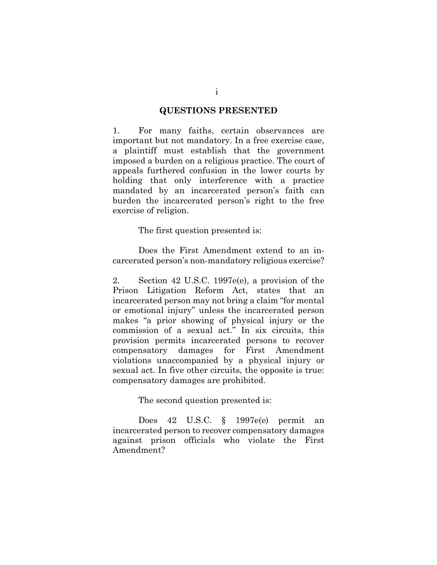#### **QUESTIONS PRESENTED**

1. For many faiths, certain observances are important but not mandatory. In a free exercise case, a plaintiff must establish that the government imposed a burden on a religious practice. The court of appeals furthered confusion in the lower courts by holding that only interference with a practice mandated by an incarcerated person's faith can burden the incarcerated person's right to the free exercise of religion.

The first question presented is:

Does the First Amendment extend to an incarcerated person's non-mandatory religious exercise?

2. Section 42 U.S.C. 1997e(e), a provision of the Prison Litigation Reform Act, states that an incarcerated person may not bring a claim "for mental or emotional injury" unless the incarcerated person makes "a prior showing of physical injury or the commission of a sexual act." In six circuits, this provision permits incarcerated persons to recover compensatory damages for First Amendment violations unaccompanied by a physical injury or sexual act. In five other circuits, the opposite is true: compensatory damages are prohibited.

The second question presented is:

Does 42 U.S.C. § 1997e(e) permit an incarcerated person to recover compensatory damages against prison officials who violate the First Amendment?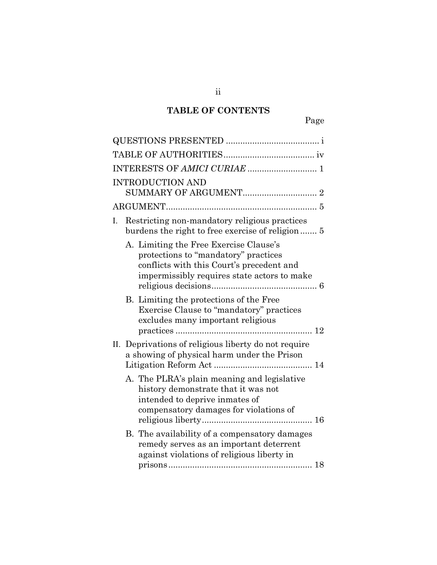# **TABLE OF CONTENTS**

|     | <b>INTRODUCTION AND</b>                                                                                                                                                                                                                                                                                |  |  |  |
|-----|--------------------------------------------------------------------------------------------------------------------------------------------------------------------------------------------------------------------------------------------------------------------------------------------------------|--|--|--|
|     |                                                                                                                                                                                                                                                                                                        |  |  |  |
| I.  | Restricting non-mandatory religious practices<br>burdens the right to free exercise of religion 5                                                                                                                                                                                                      |  |  |  |
|     | A. Limiting the Free Exercise Clause's<br>protections to "mandatory" practices<br>conflicts with this Court's precedent and<br>impermissibly requires state actors to make<br>B. Limiting the protections of the Free<br>Exercise Clause to "mandatory" practices<br>excludes many important religious |  |  |  |
|     |                                                                                                                                                                                                                                                                                                        |  |  |  |
| II. | Deprivations of religious liberty do not require<br>a showing of physical harm under the Prison                                                                                                                                                                                                        |  |  |  |
|     | A. The PLRA's plain meaning and legislative<br>history demonstrate that it was not<br>intended to deprive inmates of<br>compensatory damages for violations of                                                                                                                                         |  |  |  |
|     | B. The availability of a compensatory damages<br>remedy serves as an important deterrent<br>against violations of religious liberty in                                                                                                                                                                 |  |  |  |
|     |                                                                                                                                                                                                                                                                                                        |  |  |  |

ii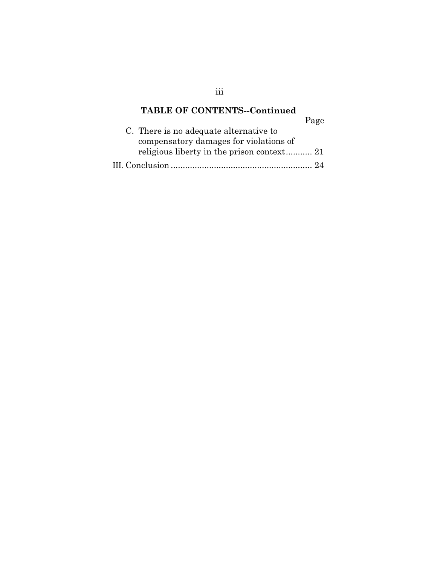# **TABLE OF CONTENTS--Continued** Page

| C. There is no adequate alternative to |
|----------------------------------------|
| compensatory damages for violations of |
|                                        |
|                                        |

iii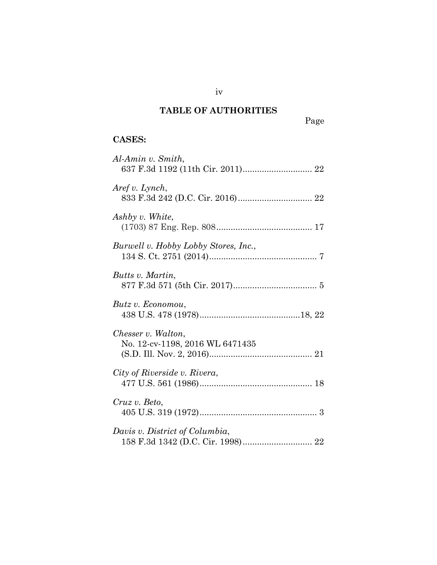# **TABLE OF AUTHORITIES**

Page

# **CASES:**

| Al-Amin v. Smith,                                     |
|-------------------------------------------------------|
| Aref v. Lynch,                                        |
| Ashby v. White,                                       |
| Burwell v. Hobby Lobby Stores, Inc.,                  |
| Butts v. Martin,                                      |
| Butz v. Economou,                                     |
| Chesser v. Walton,<br>No. 12-cv-1198, 2016 WL 6471435 |
| City of Riverside v. Rivera,                          |
| Cruz v. Beto,                                         |
| Davis v. District of Columbia,                        |

iv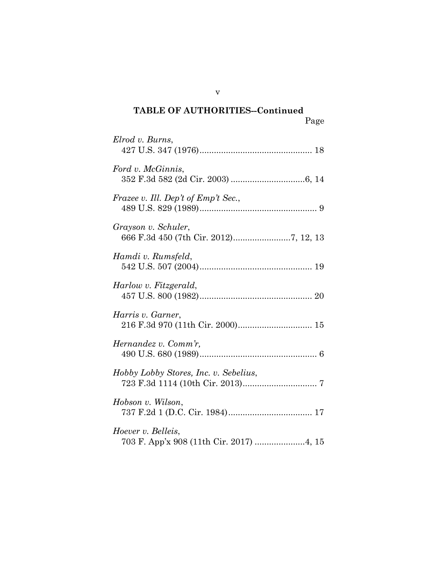| Elrod v. Burns,                                                |
|----------------------------------------------------------------|
| Ford v. McGinnis,                                              |
| Frazee v. Ill. Dep't of Emp't Sec.,                            |
| Grayson v. Schuler,                                            |
| Hamdi v. Rumsfeld,                                             |
| Harlow v. Fitzgerald,                                          |
| Harris v. Garner,<br>216 F.3d 970 (11th Cir. 2000) 15          |
| Hernandez v. Comm'r,                                           |
| Hobby Lobby Stores, Inc. v. Sebelius,                          |
| Hobson v. Wilson,                                              |
| Hoever v. Belleis,<br>703 F. App'x 908 (11th Cir. 2017)  4, 15 |

v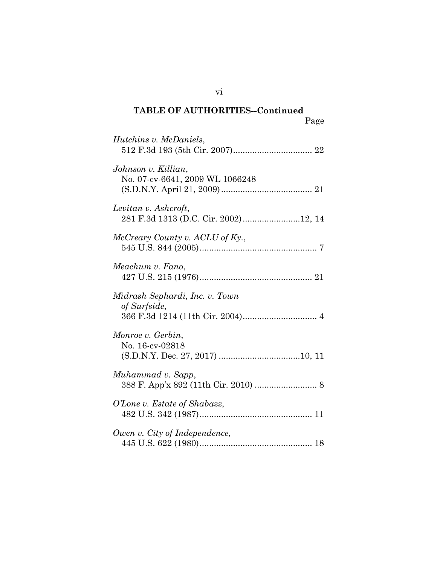Page

| Hutchins v. McDaniels,                                       |
|--------------------------------------------------------------|
| Johnson v. Killian,<br>No. 07-cv-6641, 2009 WL 1066248       |
| Levitan v. Ashcroft,<br>281 F.3d 1313 (D.C. Cir. 2002)12, 14 |
| McCreary County v. ACLU of Ky.,                              |
| Meachum v. Fano,                                             |
| Midrash Sephardi, Inc. v. Town<br>of Surfside,               |
| Monroe v. Gerbin,<br>No. 16-cv-02818                         |
| Muhammad v. Sapp,                                            |
| O'Lone v. Estate of Shabazz,                                 |
| Owen v. City of Independence,                                |

vi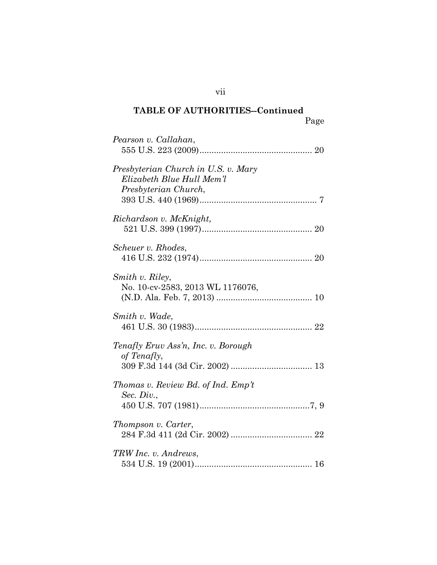| Pearson v. Callahan,                                                                     |
|------------------------------------------------------------------------------------------|
| Presbyterian Church in U.S. v. Mary<br>Elizabeth Blue Hull Mem'l<br>Presbyterian Church, |
| Richardson v. McKnight,                                                                  |
| Scheuer v. Rhodes,                                                                       |
| Smith v. Riley,<br>No. 10-cv-2583, 2013 WL 1176076,                                      |
| Smith v. Wade,                                                                           |
| Tenafly Eruv Ass'n, Inc. v. Borough<br>of Tenafly,                                       |
| Thomas v. Review Bd. of Ind. Emp't<br>Sec. Div.,                                         |
| Thompson v. Carter,                                                                      |
| TRW Inc. v. Andrews,                                                                     |

vii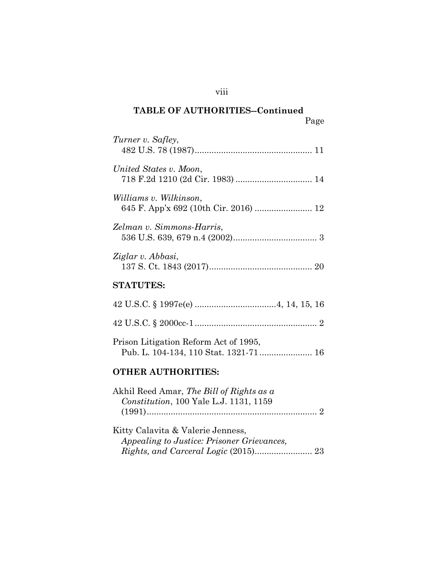| Turner v. Safley,                     |
|---------------------------------------|
| United States v. Moon,                |
| Williams v. Wilkinson,                |
| Zelman v. Simmons-Harris,             |
| Ziglar v. Abbasi,                     |
| <b>STATUTES:</b>                      |
|                                       |
|                                       |
| Prison Litigation Reform Act of 1995, |

# **OTHER AUTHORITIES:**

| Akhil Reed Amar, <i>The Bill of Rights as a</i> |  |
|-------------------------------------------------|--|
| <i>Constitution</i> , 100 Yale L.J. 1131, 1159  |  |
|                                                 |  |
|                                                 |  |

Kitty Calavita & Valerie Jenness, *Appealing to Justice: Prisoner Grievances, Rights, and Carceral Logic* (2015)........................ 23

viii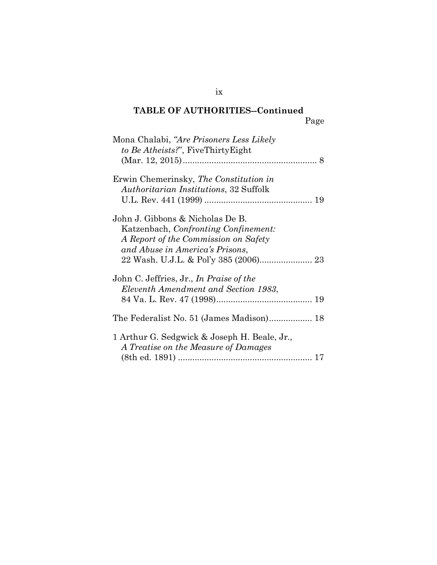| Mona Chalabi, "Are Prisoners Less Likely<br>to Be Atheists?", FiveThirtyEight                                                                       |    |
|-----------------------------------------------------------------------------------------------------------------------------------------------------|----|
|                                                                                                                                                     |    |
| Erwin Chemerinsky, The Constitution in<br><i>Authoritarian Institutions</i> , 32 Suffolk                                                            |    |
|                                                                                                                                                     |    |
| John J. Gibbons & Nicholas De B.<br>Katzenbach, Confronting Confinement:<br>A Report of the Commission on Safety<br>and Abuse in America's Prisons, |    |
|                                                                                                                                                     |    |
| John C. Jeffries, Jr., In Praise of the<br>Eleventh Amendment and Section 1983,                                                                     |    |
|                                                                                                                                                     |    |
| The Federalist No. 51 (James Madison) 18                                                                                                            |    |
| 1 Arthur G. Sedgwick & Joseph H. Beale, Jr.,<br>A Treatise on the Measure of Damages                                                                | 17 |
|                                                                                                                                                     |    |

ix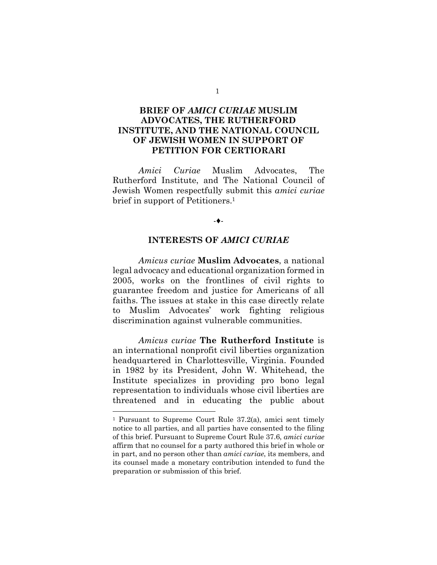## **BRIEF OF** *AMICI CURIAE* **MUSLIM ADVOCATES, THE RUTHERFORD INSTITUTE, AND THE NATIONAL COUNCIL OF JEWISH WOMEN IN SUPPORT OF PETITION FOR CERTIORARI**

*Amici Curiae* Muslim Advocates, The Rutherford Institute, and The National Council of Jewish Women respectfully submit this *amici curiae*  brief in support of Petitioners.1

#### -♦-

#### **INTERESTS OF** *AMICI CURIAE*

*Amicus curiae* **Muslim Advocates**, a national legal advocacy and educational organization formed in 2005, works on the frontlines of civil rights to guarantee freedom and justice for Americans of all faiths. The issues at stake in this case directly relate to Muslim Advocates' work fighting religious discrimination against vulnerable communities.

*Amicus curiae* **The Rutherford Institute** is an international nonprofit civil liberties organization headquartered in Charlottesville, Virginia. Founded in 1982 by its President, John W. Whitehead, the Institute specializes in providing pro bono legal representation to individuals whose civil liberties are threatened and in educating the public about

 $\overline{a}$ 

1

<sup>1</sup> Pursuant to Supreme Court Rule 37.2(a), amici sent timely notice to all parties, and all parties have consented to the filing of this brief. Pursuant to Supreme Court Rule 37.6, *amici curiae*  affirm that no counsel for a party authored this brief in whole or in part, and no person other than *amici curiae*, its members, and its counsel made a monetary contribution intended to fund the preparation or submission of this brief.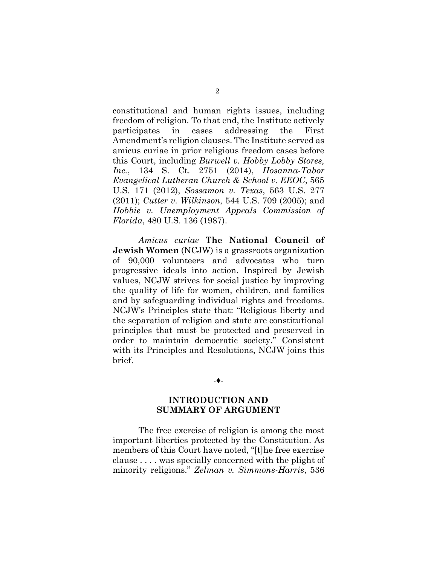constitutional and human rights issues, including freedom of religion. To that end, the Institute actively participates in cases addressing the First Amendment's religion clauses. The Institute served as amicus curiae in prior religious freedom cases before this Court, including *Burwell v. Hobby Lobby Stores, Inc.*, 134 S. Ct. 2751 (2014), *Hosanna-Tabor Evangelical Lutheran Church & School v. EEOC*, 565 U.S. 171 (2012), *Sossamon v. Texas*, 563 U.S. 277 (2011); *Cutter v. Wilkinson*, 544 U.S. 709 (2005); and *Hobbie v. Unemployment Appeals Commission of Florida*, 480 U.S. 136 (1987).

*Amicus curiae* **The National Council of Jewish Women** (NCJW) is a grassroots organization of 90,000 volunteers and advocates who turn progressive ideals into action. Inspired by Jewish values, NCJW strives for social justice by improving the quality of life for women, children, and families and by safeguarding individual rights and freedoms. NCJW's Principles state that: "Religious liberty and the separation of religion and state are constitutional principles that must be protected and preserved in order to maintain democratic society." Consistent with its Principles and Resolutions, NCJW joins this brief.

#### -♦-

## **INTRODUCTION AND SUMMARY OF ARGUMENT**

The free exercise of religion is among the most important liberties protected by the Constitution. As members of this Court have noted, "[t]he free exercise clause . . . . was specially concerned with the plight of minority religions." *Zelman v. Simmons-Harris*, 536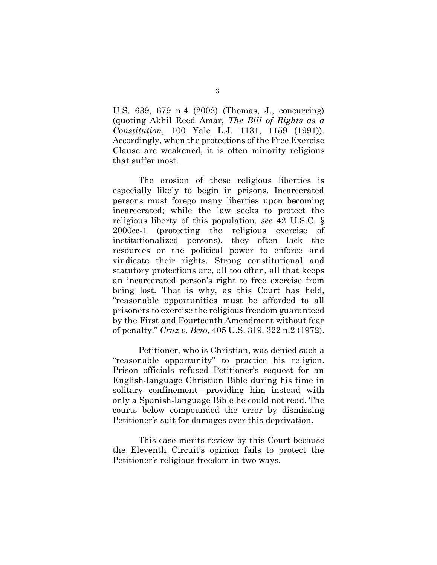U.S. 639, 679 n.4 (2002) (Thomas, J., concurring) (quoting Akhil Reed Amar, *The Bill of Rights as a Constitution*, 100 Yale L.J. 1131, 1159 (1991)). Accordingly, when the protections of the Free Exercise Clause are weakened, it is often minority religions that suffer most.

The erosion of these religious liberties is especially likely to begin in prisons. Incarcerated persons must forego many liberties upon becoming incarcerated; while the law seeks to protect the religious liberty of this population, *see* 42 U.S.C. § 2000cc-1 (protecting the religious exercise of institutionalized persons), they often lack the resources or the political power to enforce and vindicate their rights. Strong constitutional and statutory protections are, all too often, all that keeps an incarcerated person's right to free exercise from being lost. That is why, as this Court has held, "reasonable opportunities must be afforded to all prisoners to exercise the religious freedom guaranteed by the First and Fourteenth Amendment without fear of penalty." *Cruz v. Beto*, 405 U.S. 319, 322 n.2 (1972).

Petitioner, who is Christian, was denied such a "reasonable opportunity" to practice his religion. Prison officials refused Petitioner's request for an English-language Christian Bible during his time in solitary confinement—providing him instead with only a Spanish-language Bible he could not read. The courts below compounded the error by dismissing Petitioner's suit for damages over this deprivation.

This case merits review by this Court because the Eleventh Circuit's opinion fails to protect the Petitioner's religious freedom in two ways.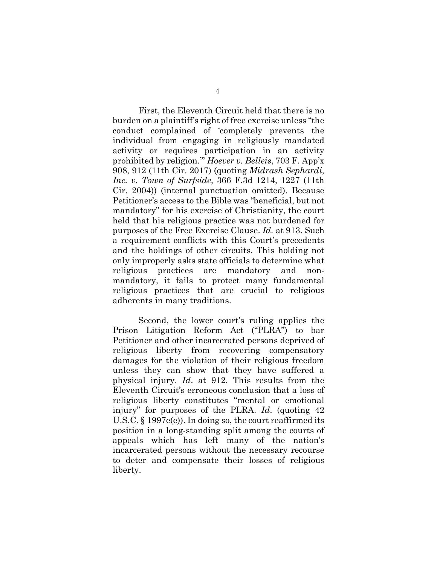First, the Eleventh Circuit held that there is no burden on a plaintiff's right of free exercise unless "the conduct complained of 'completely prevents the individual from engaging in religiously mandated activity or requires participation in an activity prohibited by religion.'" *Hoever v. Belleis*, 703 F. App'x 908, 912 (11th Cir. 2017) (quoting *Midrash Sephardi, Inc. v. Town of Surfside*, 366 F.3d 1214, 1227 (11th Cir. 2004)) (internal punctuation omitted). Because Petitioner's access to the Bible was "beneficial, but not mandatory" for his exercise of Christianity, the court held that his religious practice was not burdened for purposes of the Free Exercise Clause. *Id.* at 913. Such a requirement conflicts with this Court's precedents and the holdings of other circuits. This holding not only improperly asks state officials to determine what religious practices are mandatory and nonmandatory, it fails to protect many fundamental religious practices that are crucial to religious adherents in many traditions.

Second, the lower court's ruling applies the Prison Litigation Reform Act ("PLRA") to bar Petitioner and other incarcerated persons deprived of religious liberty from recovering compensatory damages for the violation of their religious freedom unless they can show that they have suffered a physical injury. *Id*. at 912. This results from the Eleventh Circuit's erroneous conclusion that a loss of religious liberty constitutes "mental or emotional injury" for purposes of the PLRA. *Id*. (quoting 42 U.S.C. § 1997e(e)). In doing so, the court reaffirmed its position in a long-standing split among the courts of appeals which has left many of the nation's incarcerated persons without the necessary recourse to deter and compensate their losses of religious liberty.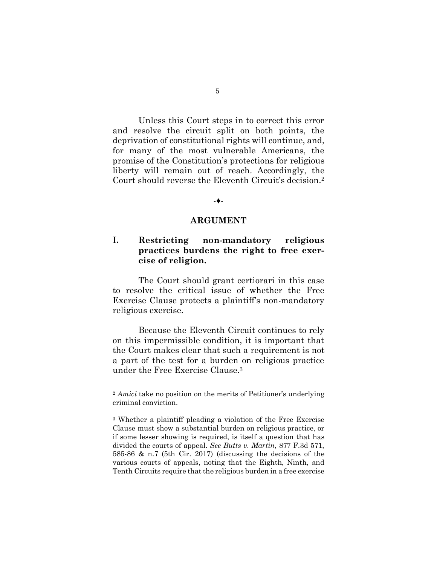Unless this Court steps in to correct this error and resolve the circuit split on both points, the deprivation of constitutional rights will continue, and, for many of the most vulnerable Americans, the promise of the Constitution's protections for religious liberty will remain out of reach. Accordingly, the Court should reverse the Eleventh Circuit's decision.2

#### -♦-

#### **ARGUMENT**

## **I. Restricting non-mandatory religious practices burdens the right to free exercise of religion.**

The Court should grant certiorari in this case to resolve the critical issue of whether the Free Exercise Clause protects a plaintiff's non-mandatory religious exercise.

Because the Eleventh Circuit continues to rely on this impermissible condition, it is important that the Court makes clear that such a requirement is not a part of the test for a burden on religious practice under the Free Exercise Clause.3

 $\overline{a}$ 

<sup>2</sup> *Amici* take no position on the merits of Petitioner's underlying criminal conviction.

<sup>3</sup> Whether a plaintiff pleading a violation of the Free Exercise Clause must show a substantial burden on religious practice, or if some lesser showing is required, is itself a question that has divided the courts of appeal. *See Butts v. Martin*, 877 F.3d 571, 585-86 & n.7 (5th Cir. 2017) (discussing the decisions of the various courts of appeals, noting that the Eighth, Ninth, and Tenth Circuits require that the religious burden in a free exercise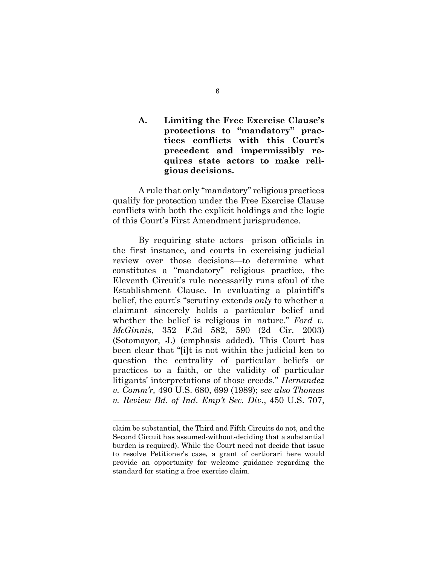## **A. Limiting the Free Exercise Clause's protections to "mandatory" practices conflicts with this Court's precedent and impermissibly requires state actors to make religious decisions.**

A rule that only "mandatory" religious practices qualify for protection under the Free Exercise Clause conflicts with both the explicit holdings and the logic of this Court's First Amendment jurisprudence.

By requiring state actors—prison officials in the first instance, and courts in exercising judicial review over those decisions—to determine what constitutes a "mandatory" religious practice, the Eleventh Circuit's rule necessarily runs afoul of the Establishment Clause. In evaluating a plaintiff's belief, the court's "scrutiny extends *only* to whether a claimant sincerely holds a particular belief and whether the belief is religious in nature." *Ford v. McGinnis*, 352 F.3d 582, 590 (2d Cir. 2003) (Sotomayor, J.) (emphasis added). This Court has been clear that "[i]t is not within the judicial ken to question the centrality of particular beliefs or practices to a faith, or the validity of particular litigants' interpretations of those creeds." *Hernandez v. Comm'r,* 490 U.S. 680, 699 (1989); *see also Thomas v. Review Bd. of Ind. Emp't Sec. Div.*, 450 U.S. 707,

 $\overline{a}$ 

claim be substantial, the Third and Fifth Circuits do not, and the Second Circuit has assumed-without-deciding that a substantial burden is required). While the Court need not decide that issue to resolve Petitioner's case, a grant of certiorari here would provide an opportunity for welcome guidance regarding the standard for stating a free exercise claim.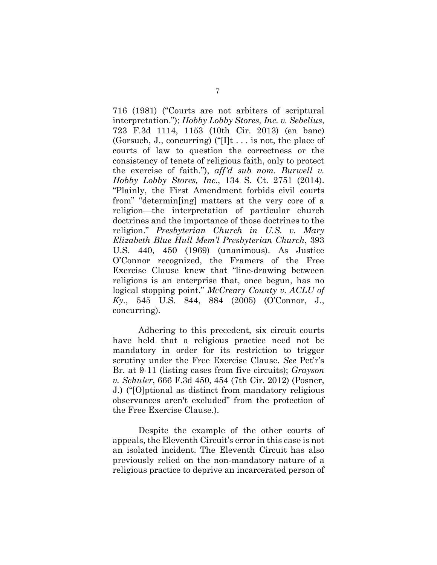716 (1981) ("Courts are not arbiters of scriptural interpretation."); *Hobby Lobby Stores, Inc. v. Sebelius*, 723 F.3d 1114, 1153 (10th Cir. 2013) (en banc) (Gorsuch, J., concurring) (" $[I]t$ ... is not, the place of courts of law to question the correctness or the consistency of tenets of religious faith, only to protect the exercise of faith."), *aff'd sub nom. Burwell v. Hobby Lobby Stores, Inc.*, 134 S. Ct. 2751 (2014). "Plainly, the First Amendment forbids civil courts from" "determin[ing] matters at the very core of a religion—the interpretation of particular church doctrines and the importance of those doctrines to the religion." *Presbyterian Church in U.S. v. Mary Elizabeth Blue Hull Mem'l Presbyterian Church*, 393 U.S. 440, 450 (1969) (unanimous). As Justice O'Connor recognized, the Framers of the Free Exercise Clause knew that "line-drawing between religions is an enterprise that, once begun, has no logical stopping point." *McCreary County v. ACLU of Ky.*, 545 U.S. 844, 884 (2005) (O'Connor, J., concurring).

Adhering to this precedent, six circuit courts have held that a religious practice need not be mandatory in order for its restriction to trigger scrutiny under the Free Exercise Clause. *See* Pet'r's Br. at 9-11 (listing cases from five circuits); *Grayson v. Schuler*, 666 F.3d 450, 454 (7th Cir. 2012) (Posner, J.) ("[O]ptional as distinct from mandatory religious observances aren't excluded" from the protection of the Free Exercise Clause.).

Despite the example of the other courts of appeals, the Eleventh Circuit's error in this case is not an isolated incident. The Eleventh Circuit has also previously relied on the non-mandatory nature of a religious practice to deprive an incarcerated person of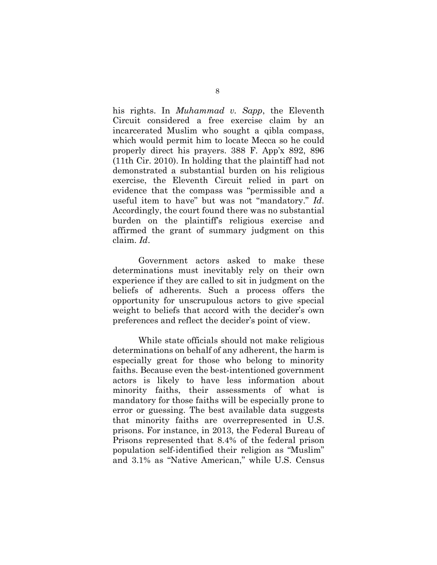his rights. In *Muhammad v. Sapp*, the Eleventh Circuit considered a free exercise claim by an incarcerated Muslim who sought a qibla compass, which would permit him to locate Mecca so he could properly direct his prayers. 388 F. App'x 892, 896 (11th Cir. 2010). In holding that the plaintiff had not demonstrated a substantial burden on his religious exercise, the Eleventh Circuit relied in part on evidence that the compass was "permissible and a useful item to have" but was not "mandatory." *Id*. Accordingly, the court found there was no substantial burden on the plaintiff's religious exercise and affirmed the grant of summary judgment on this claim. *Id*.

Government actors asked to make these determinations must inevitably rely on their own experience if they are called to sit in judgment on the beliefs of adherents. Such a process offers the opportunity for unscrupulous actors to give special weight to beliefs that accord with the decider's own preferences and reflect the decider's point of view.

While state officials should not make religious determinations on behalf of any adherent, the harm is especially great for those who belong to minority faiths. Because even the best-intentioned government actors is likely to have less information about minority faiths, their assessments of what is mandatory for those faiths will be especially prone to error or guessing. The best available data suggests that minority faiths are overrepresented in U.S. prisons. For instance, in 2013, the Federal Bureau of Prisons represented that 8.4% of the federal prison population self-identified their religion as "Muslim" and 3.1% as "Native American," while U.S. Census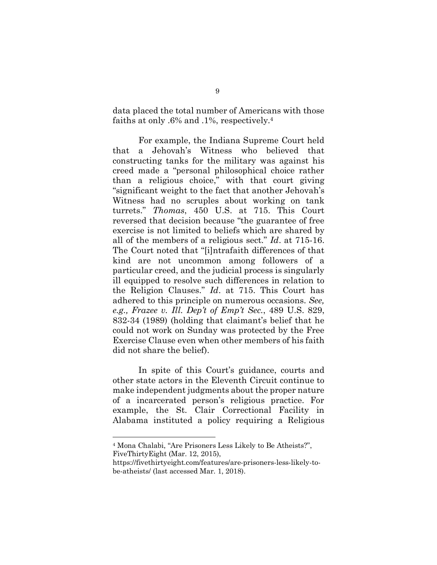data placed the total number of Americans with those faiths at only .6% and .1%, respectively. 4

For example, the Indiana Supreme Court held that a Jehovah's Witness who believed that constructing tanks for the military was against his creed made a "personal philosophical choice rather than a religious choice," with that court giving "significant weight to the fact that another Jehovah's Witness had no scruples about working on tank turrets." *Thomas*, 450 U.S. at 715. This Court reversed that decision because "the guarantee of free exercise is not limited to beliefs which are shared by all of the members of a religious sect." *Id*. at 715-16. The Court noted that "[i]ntrafaith differences of that kind are not uncommon among followers of a particular creed, and the judicial process is singularly ill equipped to resolve such differences in relation to the Religion Clauses." *Id*. at 715. This Court has adhered to this principle on numerous occasions. *See, e.g., Frazee v. Ill. Dep't of Emp't Sec.*, 489 U.S. 829, 832-34 (1989) (holding that claimant's belief that he could not work on Sunday was protected by the Free Exercise Clause even when other members of his faith did not share the belief).

In spite of this Court's guidance, courts and other state actors in the Eleventh Circuit continue to make independent judgments about the proper nature of a incarcerated person's religious practice. For example, the St. Clair Correctional Facility in Alabama instituted a policy requiring a Religious

 $\overline{a}$ 

<sup>4</sup> Mona Chalabi, "Are Prisoners Less Likely to Be Atheists?", FiveThirtyEight (Mar. 12, 2015),

https://fivethirtyeight.com/features/are-prisoners-less-likely-tobe-atheists/ (last accessed Mar. 1, 2018).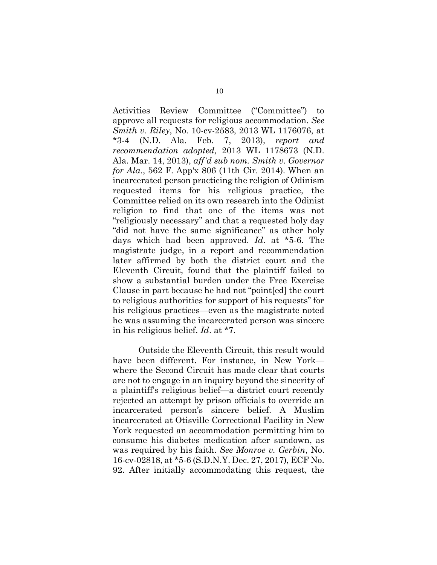Activities Review Committee ("Committee") to approve all requests for religious accommodation. *See Smith v. Riley*, No. 10-cv-2583, 2013 WL 1176076, at \*3-4 (N.D. Ala. Feb. 7, 2013), *report and recommendation adopted,* 2013 WL 1178673 (N.D. Ala. Mar. 14, 2013), *aff'd sub nom. Smith v. Governor for Ala.*, 562 F. App'x 806 (11th Cir. 2014). When an incarcerated person practicing the religion of Odinism requested items for his religious practice, the Committee relied on its own research into the Odinist religion to find that one of the items was not "religiously necessary" and that a requested holy day "did not have the same significance" as other holy days which had been approved. *Id*. at \*5-6. The magistrate judge, in a report and recommendation later affirmed by both the district court and the Eleventh Circuit, found that the plaintiff failed to show a substantial burden under the Free Exercise Clause in part because he had not "point[ed] the court to religious authorities for support of his requests" for his religious practices—even as the magistrate noted he was assuming the incarcerated person was sincere in his religious belief. *Id*. at \*7.

Outside the Eleventh Circuit, this result would have been different. For instance, in New York where the Second Circuit has made clear that courts are not to engage in an inquiry beyond the sincerity of a plaintiff's religious belief—a district court recently rejected an attempt by prison officials to override an incarcerated person's sincere belief. A Muslim incarcerated at Otisville Correctional Facility in New York requested an accommodation permitting him to consume his diabetes medication after sundown, as was required by his faith. *See Monroe v. Gerbin*, No. 16-cv-02818, at \*5-6 (S.D.N.Y. Dec. 27, 2017), ECF No. 92. After initially accommodating this request, the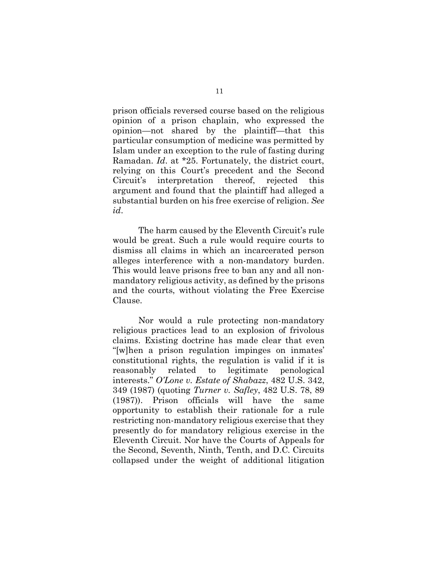prison officials reversed course based on the religious opinion of a prison chaplain, who expressed the opinion—not shared by the plaintiff—that this particular consumption of medicine was permitted by Islam under an exception to the rule of fasting during Ramadan. *Id*. at \*25. Fortunately, the district court, relying on this Court's precedent and the Second Circuit's interpretation thereof, rejected this argument and found that the plaintiff had alleged a substantial burden on his free exercise of religion. *See id*.

The harm caused by the Eleventh Circuit's rule would be great. Such a rule would require courts to dismiss all claims in which an incarcerated person alleges interference with a non-mandatory burden. This would leave prisons free to ban any and all nonmandatory religious activity, as defined by the prisons and the courts, without violating the Free Exercise Clause.

Nor would a rule protecting non-mandatory religious practices lead to an explosion of frivolous claims. Existing doctrine has made clear that even "[w]hen a prison regulation impinges on inmates' constitutional rights, the regulation is valid if it is reasonably related to legitimate penological interests." *O'Lone v. Estate of Shabazz*, 482 U.S. 342, 349 (1987) (quoting *Turner v. Safley*, 482 U.S. 78, 89 (1987)). Prison officials will have the same opportunity to establish their rationale for a rule restricting non-mandatory religious exercise that they presently do for mandatory religious exercise in the Eleventh Circuit. Nor have the Courts of Appeals for the Second, Seventh, Ninth, Tenth, and D.C. Circuits collapsed under the weight of additional litigation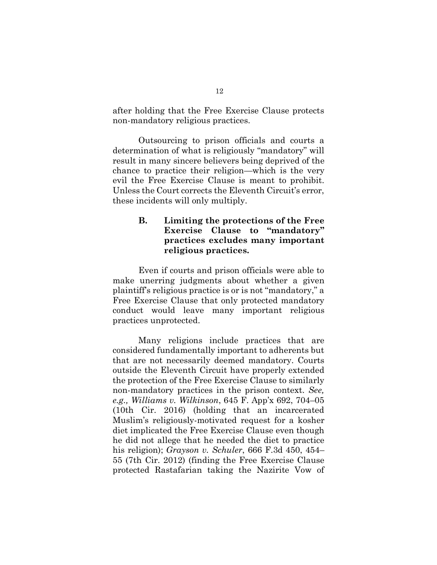after holding that the Free Exercise Clause protects non-mandatory religious practices.

Outsourcing to prison officials and courts a determination of what is religiously "mandatory" will result in many sincere believers being deprived of the chance to practice their religion—which is the very evil the Free Exercise Clause is meant to prohibit. Unless the Court corrects the Eleventh Circuit's error, these incidents will only multiply.

## **B. Limiting the protections of the Free Exercise Clause to "mandatory" practices excludes many important religious practices.**

Even if courts and prison officials were able to make unerring judgments about whether a given plaintiff's religious practice is or is not "mandatory," a Free Exercise Clause that only protected mandatory conduct would leave many important religious practices unprotected.

Many religions include practices that are considered fundamentally important to adherents but that are not necessarily deemed mandatory. Courts outside the Eleventh Circuit have properly extended the protection of the Free Exercise Clause to similarly non-mandatory practices in the prison context. *See, e.g., Williams v. Wilkinson*, 645 F. App'x 692, 704–05 (10th Cir. 2016) (holding that an incarcerated Muslim's religiously-motivated request for a kosher diet implicated the Free Exercise Clause even though he did not allege that he needed the diet to practice his religion); *Grayson v. Schuler*, 666 F.3d 450, 454– 55 (7th Cir. 2012) (finding the Free Exercise Clause protected Rastafarian taking the Nazirite Vow of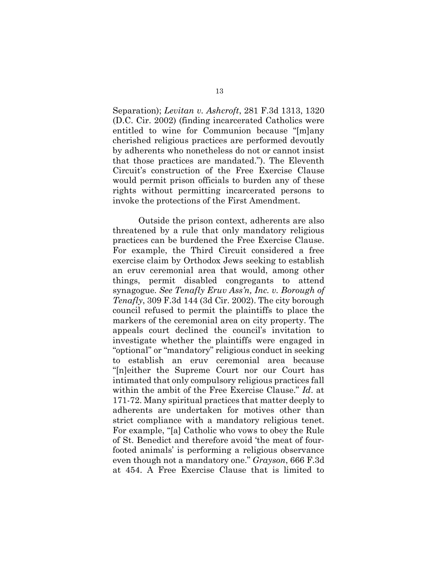Separation); *Levitan v. Ashcroft*, 281 F.3d 1313, 1320 (D.C. Cir. 2002) (finding incarcerated Catholics were entitled to wine for Communion because "[m]any cherished religious practices are performed devoutly by adherents who nonetheless do not or cannot insist that those practices are mandated."). The Eleventh Circuit's construction of the Free Exercise Clause would permit prison officials to burden any of these rights without permitting incarcerated persons to invoke the protections of the First Amendment.

Outside the prison context, adherents are also threatened by a rule that only mandatory religious practices can be burdened the Free Exercise Clause. For example, the Third Circuit considered a free exercise claim by Orthodox Jews seeking to establish an eruv ceremonial area that would, among other things, permit disabled congregants to attend synagogue. *See Tenafly Eruv Ass'n, Inc. v. Borough of Tenafly*, 309 F.3d 144 (3d Cir. 2002). The city borough council refused to permit the plaintiffs to place the markers of the ceremonial area on city property. The appeals court declined the council's invitation to investigate whether the plaintiffs were engaged in "optional" or "mandatory" religious conduct in seeking to establish an eruv ceremonial area because "[n]either the Supreme Court nor our Court has intimated that only compulsory religious practices fall within the ambit of the Free Exercise Clause." *Id*. at 171-72. Many spiritual practices that matter deeply to adherents are undertaken for motives other than strict compliance with a mandatory religious tenet. For example, "[a] Catholic who vows to obey the Rule of St. Benedict and therefore avoid 'the meat of fourfooted animals' is performing a religious observance even though not a mandatory one." *Grayson*, 666 F.3d at 454. A Free Exercise Clause that is limited to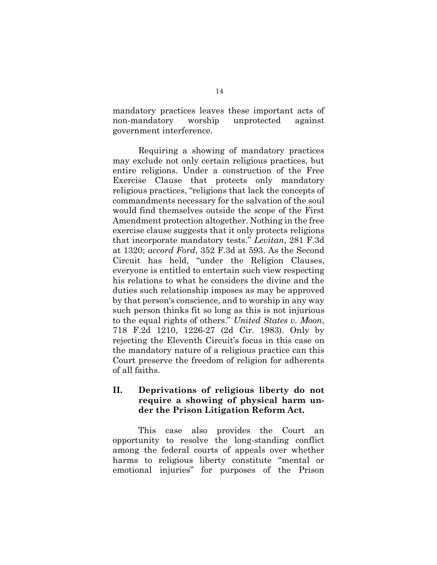mandatory practices leaves these important acts of non-mandatory worship unprotected against government interference.

Requiring a showing of mandatory practices may exclude not only certain religious practices, but entire religions. Under a construction of the Free Exercise Clause that protects only mandatory religious practices, "religions that lack the concepts of commandments necessary for the salvation of the soul would find themselves outside the scope of the First Amendment protection altogether. Nothing in the free exercise clause suggests that it only protects religions that incorporate mandatory tests." *Levitan*, 281 F.3d at 1320; *accord Ford*, 352 F.3d at 593. As the Second Circuit has held, "under the Religion Clauses, everyone is entitled to entertain such view respecting his relations to what he considers the divine and the duties such relationship imposes as may be approved by that person's conscience, and to worship in any way such person thinks fit so long as this is not injurious to the equal rights of others." *United States v. Moon*, 718 F.2d 1210, 1226-27 (2d Cir. 1983). Only by rejecting the Eleventh Circuit's focus in this case on the mandatory nature of a religious practice can this Court preserve the freedom of religion for adherents of all faiths.

## **II. Deprivations of religious liberty do not require a showing of physical harm under the Prison Litigation Reform Act.**

This case also provides the Court an opportunity to resolve the long-standing conflict among the federal courts of appeals over whether harms to religious liberty constitute "mental or emotional injuries" for purposes of the Prison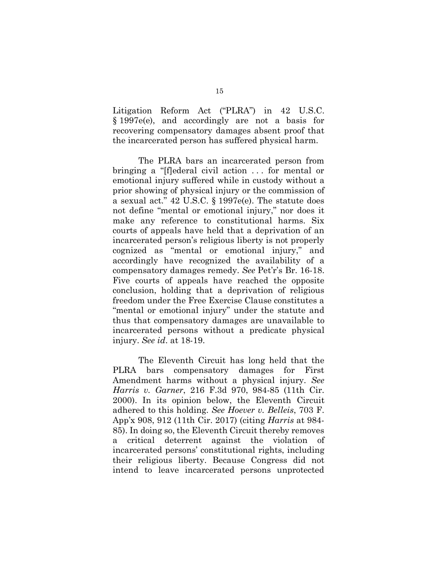Litigation Reform Act ("PLRA") in 42 U.S.C. § 1997e(e), and accordingly are not a basis for recovering compensatory damages absent proof that the incarcerated person has suffered physical harm.

The PLRA bars an incarcerated person from bringing a "[f]ederal civil action . . . for mental or emotional injury suffered while in custody without a prior showing of physical injury or the commission of a sexual act." 42 U.S.C. § 1997e(e). The statute does not define "mental or emotional injury," nor does it make any reference to constitutional harms. Six courts of appeals have held that a deprivation of an incarcerated person's religious liberty is not properly cognized as "mental or emotional injury," and accordingly have recognized the availability of a compensatory damages remedy. *See* Pet'r's Br. 16-18. Five courts of appeals have reached the opposite conclusion, holding that a deprivation of religious freedom under the Free Exercise Clause constitutes a "mental or emotional injury" under the statute and thus that compensatory damages are unavailable to incarcerated persons without a predicate physical injury. *See id*. at 18-19.

The Eleventh Circuit has long held that the PLRA bars compensatory damages for First Amendment harms without a physical injury. *See Harris v. Garner*, 216 F.3d 970, 984-85 (11th Cir. 2000). In its opinion below, the Eleventh Circuit adhered to this holding. *See Hoever v. Belleis*, 703 F. App'x 908, 912 (11th Cir. 2017) (citing *Harris* at 984- 85). In doing so, the Eleventh Circuit thereby removes a critical deterrent against the violation of incarcerated persons' constitutional rights, including their religious liberty. Because Congress did not intend to leave incarcerated persons unprotected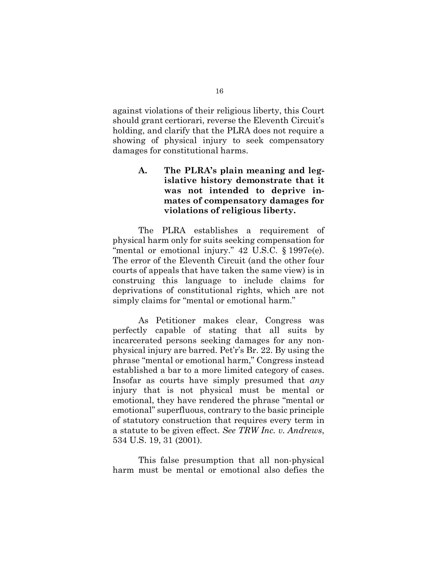against violations of their religious liberty, this Court should grant certiorari, reverse the Eleventh Circuit's holding, and clarify that the PLRA does not require a showing of physical injury to seek compensatory damages for constitutional harms.

> **A. The PLRA's plain meaning and legislative history demonstrate that it was not intended to deprive inmates of compensatory damages for violations of religious liberty.**

The PLRA establishes a requirement of physical harm only for suits seeking compensation for "mental or emotional injury." 42 U.S.C. § 1997e(e). The error of the Eleventh Circuit (and the other four courts of appeals that have taken the same view) is in construing this language to include claims for deprivations of constitutional rights, which are not simply claims for "mental or emotional harm."

As Petitioner makes clear, Congress was perfectly capable of stating that all suits by incarcerated persons seeking damages for any nonphysical injury are barred. Pet'r's Br. 22. By using the phrase "mental or emotional harm," Congress instead established a bar to a more limited category of cases. Insofar as courts have simply presumed that *any*  injury that is not physical must be mental or emotional, they have rendered the phrase "mental or emotional" superfluous, contrary to the basic principle of statutory construction that requires every term in a statute to be given effect. *See TRW Inc. v. Andrews*, 534 U.S. 19, 31 (2001).

This false presumption that all non-physical harm must be mental or emotional also defies the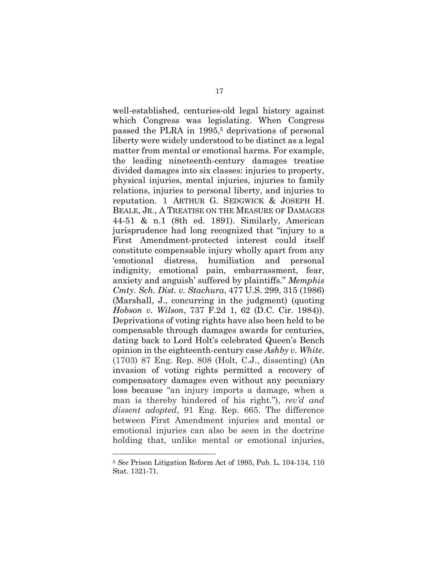well-established, centuries-old legal history against which Congress was legislating. When Congress passed the PLRA in 1995,<sup>5</sup> deprivations of personal liberty were widely understood to be distinct as a legal matter from mental or emotional harms. For example, the leading nineteenth-century damages treatise divided damages into six classes: injuries to property, physical injuries, mental injuries, injuries to family relations, injuries to personal liberty, and injuries to reputation. 1 ARTHUR G. SEDGWICK & JOSEPH H. BEALE, JR., A TREATISE ON THE MEASURE OF DAMAGES 44-51 & n.1 (8th ed. 1891). Similarly, American jurisprudence had long recognized that "injury to a First Amendment-protected interest could itself constitute compensable injury wholly apart from any 'emotional distress, humiliation and personal indignity, emotional pain, embarrassment, fear, anxiety and anguish' suffered by plaintiffs." *Memphis Cmty. Sch. Dist. v. Stachura*, 477 U.S. 299, 315 (1986) (Marshall, J., concurring in the judgment) (quoting *Hobson v. Wilson*, 737 F.2d 1, 62 (D.C. Cir. 1984)). Deprivations of voting rights have also been held to be compensable through damages awards for centuries, dating back to Lord Holt's celebrated Queen's Bench opinion in the eighteenth-century case *Ashby v. White*. (1703) 87 Eng. Rep. 808 (Holt, C.J., dissenting) (An invasion of voting rights permitted a recovery of compensatory damages even without any pecuniary loss because "an injury imports a damage, when a man is thereby hindered of his right."), *rev'd and dissent adopted*, 91 Eng. Rep. 665. The difference between First Amendment injuries and mental or emotional injuries can also be seen in the doctrine holding that, unlike mental or emotional injuries,

 $\overline{a}$ 

<sup>5</sup> *See* Prison Litigation Reform Act of 1995, Pub. L. 104-134, 110 Stat. 1321-71.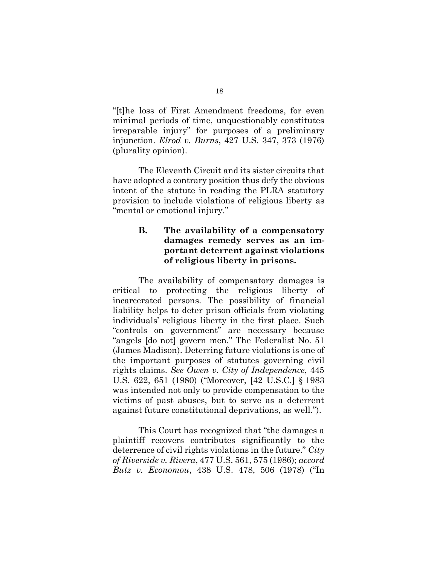"[t]he loss of First Amendment freedoms, for even minimal periods of time, unquestionably constitutes irreparable injury" for purposes of a preliminary injunction. *Elrod v. Burns*, 427 U.S. 347, 373 (1976) (plurality opinion).

The Eleventh Circuit and its sister circuits that have adopted a contrary position thus defy the obvious intent of the statute in reading the PLRA statutory provision to include violations of religious liberty as "mental or emotional injury."

## **B. The availability of a compensatory damages remedy serves as an important deterrent against violations of religious liberty in prisons.**

The availability of compensatory damages is critical to protecting the religious liberty of incarcerated persons. The possibility of financial liability helps to deter prison officials from violating individuals' religious liberty in the first place. Such "controls on government" are necessary because "angels [do not] govern men." The Federalist No. 51 (James Madison). Deterring future violations is one of the important purposes of statutes governing civil rights claims. *See Owen v. City of Independence*, 445 U.S. 622, 651 (1980) ("Moreover, [42 U.S.C.] § 1983 was intended not only to provide compensation to the victims of past abuses, but to serve as a deterrent against future constitutional deprivations, as well.").

This Court has recognized that "the damages a plaintiff recovers contributes significantly to the deterrence of civil rights violations in the future." *City of Riverside v. Rivera*, 477 U.S. 561, 575 (1986); *accord Butz v. Economou*, 438 U.S. 478, 506 (1978) ("In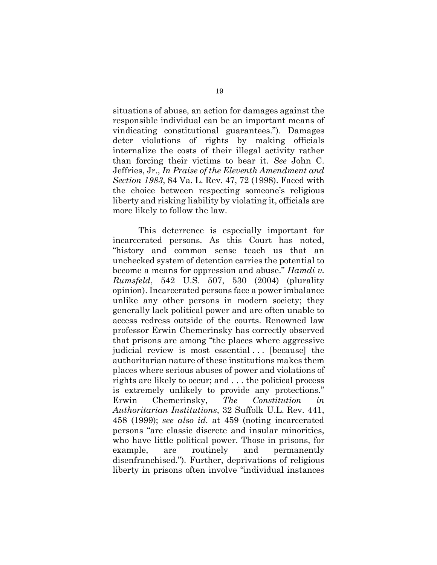situations of abuse, an action for damages against the responsible individual can be an important means of vindicating constitutional guarantees."). Damages deter violations of rights by making officials internalize the costs of their illegal activity rather than forcing their victims to bear it. *See* John C. Jeffries, Jr., *In Praise of the Eleventh Amendment and Section 1983*, 84 Va. L. Rev. 47, 72 (1998). Faced with the choice between respecting someone's religious liberty and risking liability by violating it, officials are more likely to follow the law.

This deterrence is especially important for incarcerated persons. As this Court has noted, "history and common sense teach us that an unchecked system of detention carries the potential to become a means for oppression and abuse." *Hamdi v. Rumsfeld*, 542 U.S. 507, 530 (2004) (plurality opinion). Incarcerated persons face a power imbalance unlike any other persons in modern society; they generally lack political power and are often unable to access redress outside of the courts. Renowned law professor Erwin Chemerinsky has correctly observed that prisons are among "the places where aggressive judicial review is most essential... [because] the authoritarian nature of these institutions makes them places where serious abuses of power and violations of rights are likely to occur; and . . . the political process is extremely unlikely to provide any protections." Erwin Chemerinsky, *The Constitution in Authoritarian Institutions*, 32 Suffolk U.L. Rev. 441, 458 (1999); *see also id.* at 459 (noting incarcerated persons "are classic discrete and insular minorities, who have little political power. Those in prisons, for example, are routinely and permanently disenfranchised."). Further, deprivations of religious liberty in prisons often involve "individual instances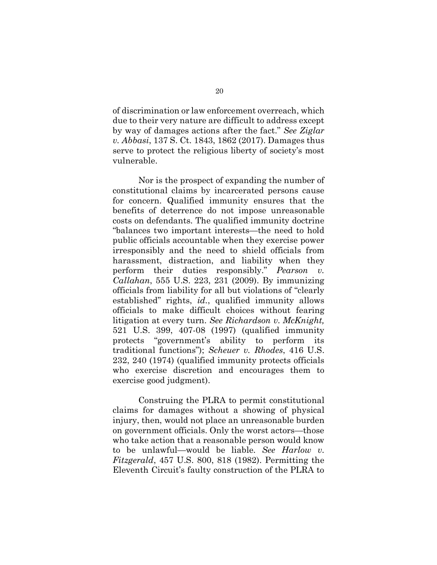of discrimination or law enforcement overreach, which due to their very nature are difficult to address except by way of damages actions after the fact." *See Ziglar v. Abbasi*, 137 S. Ct. 1843, 1862 (2017). Damages thus serve to protect the religious liberty of society's most vulnerable.

Nor is the prospect of expanding the number of constitutional claims by incarcerated persons cause for concern. Qualified immunity ensures that the benefits of deterrence do not impose unreasonable costs on defendants. The qualified immunity doctrine "balances two important interests—the need to hold public officials accountable when they exercise power irresponsibly and the need to shield officials from harassment, distraction, and liability when they perform their duties responsibly." *Pearson v. Callahan*, 555 U.S. 223, 231 (2009). By immunizing officials from liability for all but violations of "clearly established" rights, *id.*, qualified immunity allows officials to make difficult choices without fearing litigation at every turn. *See Richardson v. McKnight,*  521 U.S. 399, 407-08 (1997) (qualified immunity protects "government's ability to perform its traditional functions"); *Scheuer v. Rhodes*, 416 U.S. 232, 240 (1974) (qualified immunity protects officials who exercise discretion and encourages them to exercise good judgment).

Construing the PLRA to permit constitutional claims for damages without a showing of physical injury, then, would not place an unreasonable burden on government officials. Only the worst actors—those who take action that a reasonable person would know to be unlawful—would be liable. *See Harlow v. Fitzgerald*, 457 U.S. 800, 818 (1982). Permitting the Eleventh Circuit's faulty construction of the PLRA to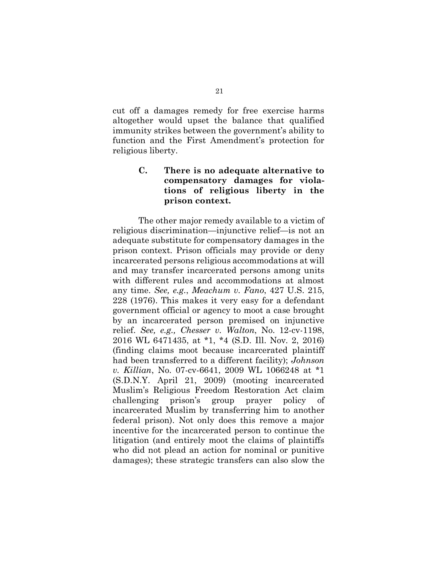cut off a damages remedy for free exercise harms altogether would upset the balance that qualified immunity strikes between the government's ability to function and the First Amendment's protection for religious liberty.

## **C. There is no adequate alternative to compensatory damages for violations of religious liberty in the prison context.**

The other major remedy available to a victim of religious discrimination—injunctive relief—is not an adequate substitute for compensatory damages in the prison context. Prison officials may provide or deny incarcerated persons religious accommodations at will and may transfer incarcerated persons among units with different rules and accommodations at almost any time. *See, e.g.*, *Meachum v. Fano*, 427 U.S. 215, 228 (1976). This makes it very easy for a defendant government official or agency to moot a case brought by an incarcerated person premised on injunctive relief. *See, e.g., Chesser v. Walton*, No. 12-cv-1198, 2016 WL 6471435, at \*1, \*4 (S.D. Ill. Nov. 2, 2016) (finding claims moot because incarcerated plaintiff had been transferred to a different facility); *Johnson v. Killian*, No. 07-cv-6641, 2009 WL 1066248 at \*1 (S.D.N.Y. April 21, 2009) (mooting incarcerated Muslim's Religious Freedom Restoration Act claim challenging prison's group prayer policy of incarcerated Muslim by transferring him to another federal prison). Not only does this remove a major incentive for the incarcerated person to continue the litigation (and entirely moot the claims of plaintiffs who did not plead an action for nominal or punitive damages); these strategic transfers can also slow the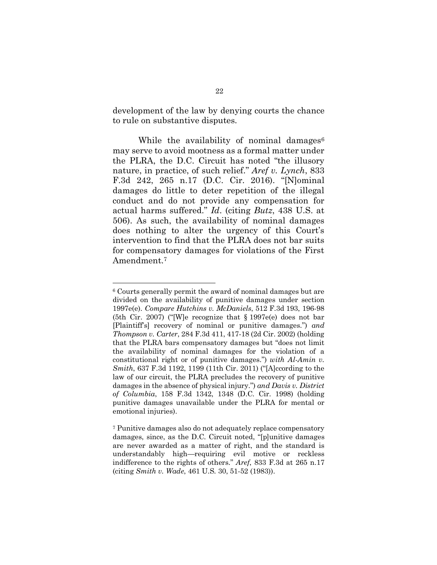development of the law by denying courts the chance to rule on substantive disputes.

While the availability of nominal damages $6$ may serve to avoid mootness as a formal matter under the PLRA, the D.C. Circuit has noted "the illusory nature, in practice, of such relief." *Aref v. Lynch*, 833 F.3d 242, 265 n.17 (D.C. Cir. 2016). "[N]ominal damages do little to deter repetition of the illegal conduct and do not provide any compensation for actual harms suffered." *Id*. (citing *Butz*, 438 U.S. at 506). As such, the availability of nominal damages does nothing to alter the urgency of this Court's intervention to find that the PLRA does not bar suits for compensatory damages for violations of the First Amendment.7

 $\overline{a}$ 

<sup>6</sup> Courts generally permit the award of nominal damages but are divided on the availability of punitive damages under section 1997e(e). *Compare Hutchins v. McDaniels*, 512 F.3d 193, 196-98 (5th Cir. 2007) ("[W]e recognize that § 1997e(e) does not bar [Plaintiff's] recovery of nominal or punitive damages.") *and Thompson v. Carter*, 284 F.3d 411, 417-18 (2d Cir. 2002) (holding that the PLRA bars compensatory damages but "does not limit the availability of nominal damages for the violation of a constitutional right or of punitive damages.") *with Al-Amin v. Smith*, 637 F.3d 1192, 1199 (11th Cir. 2011) ("[A]ccording to the law of our circuit, the PLRA precludes the recovery of punitive damages in the absence of physical injury.") *and Davis v. District of Columbia*, 158 F.3d 1342, 1348 (D.C. Cir. 1998) (holding punitive damages unavailable under the PLRA for mental or emotional injuries).

<sup>7</sup> Punitive damages also do not adequately replace compensatory damages, since, as the D.C. Circuit noted, "[p]unitive damages are never awarded as a matter of right, and the standard is understandably high—requiring evil motive or reckless indifference to the rights of others." *Aref*, 833 F.3d at 265 n.17 (citing *Smith v. Wade*, 461 U.S. 30, 51-52 (1983)).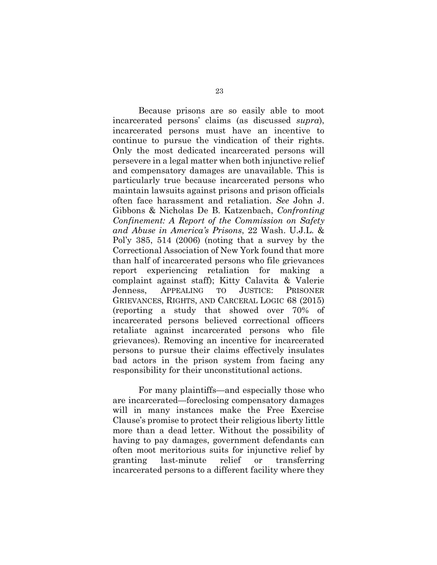Because prisons are so easily able to moot incarcerated persons' claims (as discussed *supra*), incarcerated persons must have an incentive to continue to pursue the vindication of their rights. Only the most dedicated incarcerated persons will persevere in a legal matter when both injunctive relief and compensatory damages are unavailable. This is particularly true because incarcerated persons who maintain lawsuits against prisons and prison officials often face harassment and retaliation. *See* John J. Gibbons & Nicholas De B. Katzenbach, *Confronting Confinement: A Report of the Commission on Safety and Abuse in America's Prisons*, 22 Wash. U.J.L. & Pol'y 385, 514 (2006) (noting that a survey by the Correctional Association of New York found that more than half of incarcerated persons who file grievances report experiencing retaliation for making a complaint against staff); Kitty Calavita & Valerie Jenness, APPEALING TO JUSTICE: PRISONER GRIEVANCES, RIGHTS, AND CARCERAL LOGIC 68 (2015) (reporting a study that showed over 70% of incarcerated persons believed correctional officers retaliate against incarcerated persons who file grievances). Removing an incentive for incarcerated persons to pursue their claims effectively insulates bad actors in the prison system from facing any responsibility for their unconstitutional actions.

For many plaintiffs—and especially those who are incarcerated—foreclosing compensatory damages will in many instances make the Free Exercise Clause's promise to protect their religious liberty little more than a dead letter. Without the possibility of having to pay damages, government defendants can often moot meritorious suits for injunctive relief by granting last-minute relief or transferring incarcerated persons to a different facility where they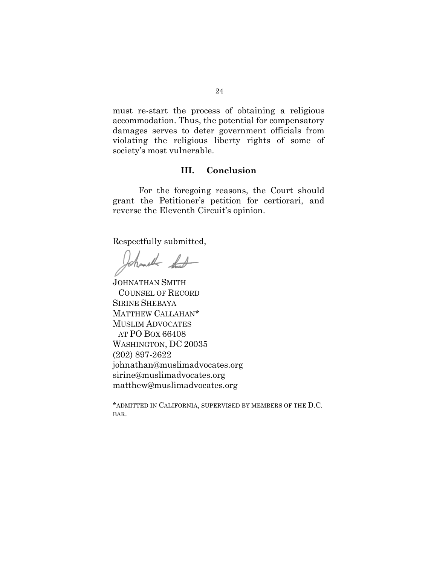must re-start the process of obtaining a religious accommodation. Thus, the potential for compensatory damages serves to deter government officials from violating the religious liberty rights of some of society's most vulnerable.

## **III. Conclusion**

 For the foregoing reasons, the Court should grant the Petitioner's petition for certiorari, and reverse the Eleventh Circuit's opinion.

Respectfully submitted,

Johnsolk that

JOHNATHAN SMITH COUNSEL OF RECORD SIRINE SHEBAYA MATTHEW CALLAHAN\* MUSLIM ADVOCATES AT PO BOX 66408 WASHINGTON, DC 20035 (202) 897-2622 johnathan@muslimadvocates.org sirine@muslimadvocates.org matthew@muslimadvocates.org

\*ADMITTED IN CALIFORNIA, SUPERVISED BY MEMBERS OF THE D.C. BAR.